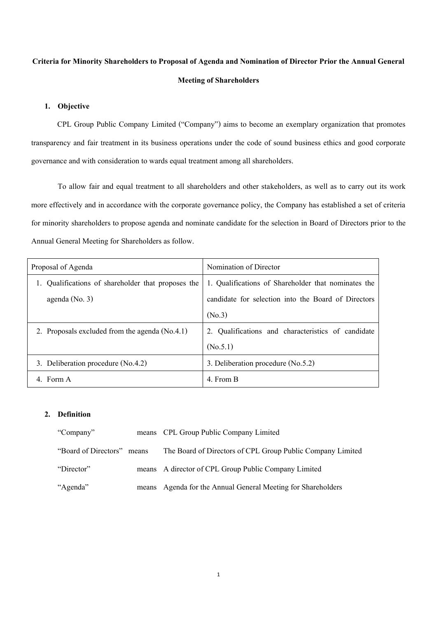## **Criteria for Minority Shareholders to Proposal of Agenda and Nomination of Director Prior the Annual General Meeting of Shareholders**

### **1. Objective**

CPL Group Public Company Limited ("Company") aims to become an exemplary organization that promotes transparency and fair treatment in its business operations under the code of sound business ethics and good corporate governance and with consideration to wards equal treatment among all shareholders.

To allow fair and equal treatment to all shareholders and other stakeholders, as well as to carry out its work more effectively and in accordance with the corporate governance policy, the Company has established a set of criteria for minority shareholders to propose agenda and nominate candidate for the selection in Board of Directors prior to the Annual General Meeting for Shareholders as follow.

| Proposal of Agenda |                                                  | Nomination of Director                              |
|--------------------|--------------------------------------------------|-----------------------------------------------------|
|                    | Qualifications of shareholder that proposes the  | 1. Qualifications of Shareholder that nominates the |
|                    | agenda (No. 3)                                   | candidate for selection into the Board of Directors |
|                    |                                                  | (No.3)                                              |
|                    | 2. Proposals excluded from the agenda $(No.4.1)$ | Qualifications and characteristics of candidate     |
|                    |                                                  | (N <sub>0.5.1</sub> )                               |
|                    | 3. Deliberation procedure $(N_0.4.2)$            | 3. Deliberation procedure (No.5.2)                  |
|                    | 4. Form A                                        | 4. From B                                           |

### **2. Definition**

| "Company"            |       | means CPL Group Public Company Limited                     |
|----------------------|-------|------------------------------------------------------------|
| "Board of Directors" | means | The Board of Directors of CPL Group Public Company Limited |
| "Director"           |       | means A director of CPL Group Public Company Limited       |
| "Agenda"             | means | Agenda for the Annual General Meeting for Shareholders     |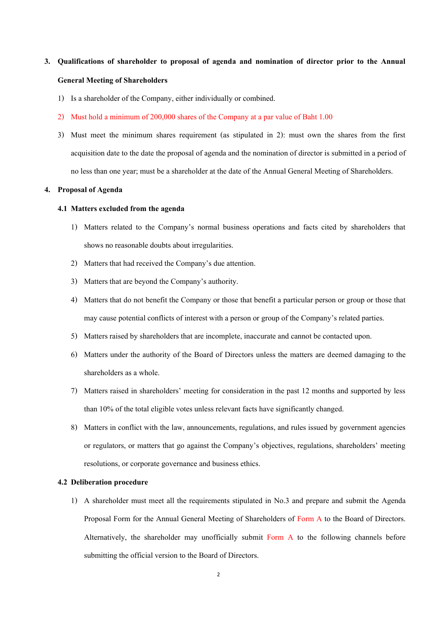# **3. Qualifications of shareholder to proposal of agenda and nomination of director prior to the Annual General Meeting of Shareholders**

- 1) Is a shareholder of the Company, either individually or combined.
- 2) Must hold a minimum of 200,000 shares of the Company at a par value of Baht 1.00
- 3) Must meet the minimum shares requirement (as stipulated in 2): must own the shares from the first acquisition date to the date the proposal of agenda and the nomination of director is submitted in a period of no less than one year; must be a shareholder at the date of the Annual General Meeting of Shareholders.

#### **4. Proposal of Agenda**

#### **4.1 Matters excluded from the agenda**

- 1) Matters related to the Company's normal business operations and facts cited by shareholders that shows no reasonable doubts about irregularities.
- 2) Matters that had received the Company's due attention.
- 3) Matters that are beyond the Company's authority.
- 4) Matters that do not benefit the Company or those that benefit a particular person or group or those that may cause potential conflicts of interest with a person or group of the Company's related parties.
- 5) Matters raised by shareholders that are incomplete, inaccurate and cannot be contacted upon.
- 6) Matters under the authority of the Board of Directors unless the matters are deemed damaging to the shareholders as a whole.
- 7) Matters raised in shareholders' meeting for consideration in the past 12 months and supported by less than 10% of the total eligible votes unless relevant facts have significantly changed.
- 8) Matters in conflict with the law, announcements, regulations, and rules issued by government agencies or regulators, or matters that go against the Company's objectives, regulations, shareholders' meeting resolutions, or corporate governance and business ethics.

#### **4.2 Deliberation procedure**

1) A shareholder must meet all the requirements stipulated in No.3 and prepare and submit the Agenda Proposal Form for the Annual General Meeting of Shareholders of Form A to the Board of Directors. Alternatively, the shareholder may unofficially submit Form A to the following channels before submitting the official version to the Board of Directors.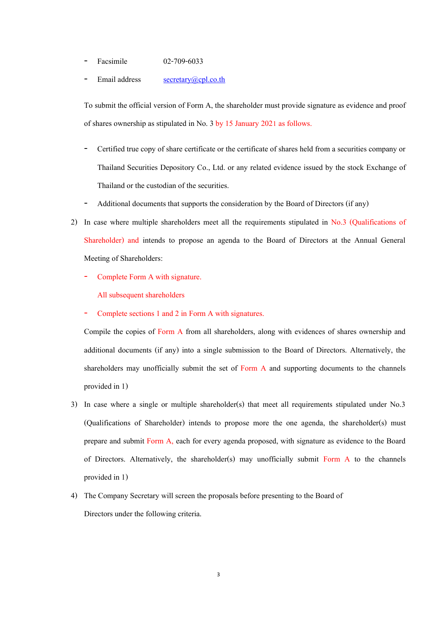- Facsimile 02-709-6033
- Email address [secretary@cpl.co.th](mailto:secretary@cpl.co.th)

To submit the official version of Form A, the shareholder must provide signature as evidence and proof of shares ownership as stipulated in No. 3 by 15 January 2021 as follows.

- Certified true copy of share certificate or the certificate of shares held from a securities company or Thailand Securities Depository Co., Ltd. or any related evidence issued by the stock Exchange of Thailand or the custodian of the securities.
- Additional documents that supports the consideration by the Board of Directors (if any)
- 2) In case where multiple shareholders meet all the requirements stipulated in No.3 (Qualifications of Shareholder) and intends to propose an agenda to the Board of Directors at the Annual General Meeting of Shareholders:
	- Complete Form A with signature.

All subsequent shareholders

Complete sections 1 and 2 in Form A with signatures.

Compile the copies of Form A from all shareholders, along with evidences of shares ownership and additional documents (if any) into a single submission to the Board of Directors. Alternatively, the shareholders may unofficially submit the set of Form A and supporting documents to the channels provided in 1)

- 3) In case where a single or multiple shareholder(s) that meet all requirements stipulated under No.3 (Qualifications of Shareholder) intends to propose more the one agenda, the shareholder(s) must prepare and submit Form A, each for every agenda proposed, with signature as evidence to the Board of Directors. Alternatively, the shareholder(s) may unofficially submit Form A to the channels provided in 1)
- 4) The Company Secretary will screen the proposals before presenting to the Board of Directors under the following criteria.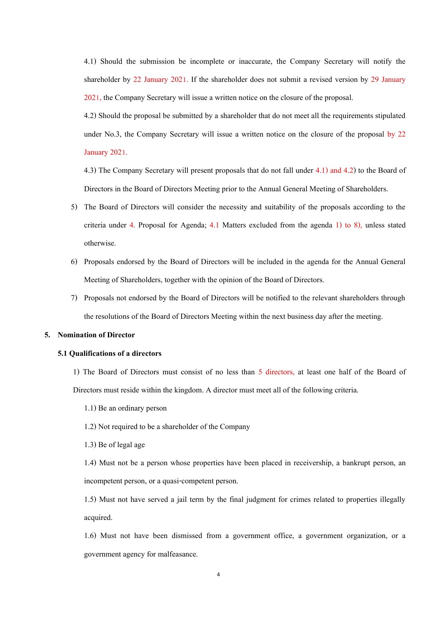4.1) Should the submission be incomplete or inaccurate, the Company Secretary will notify the shareholder by 22 January 2021. If the shareholder does not submit a revised version by 29 January 2021, the Company Secretary will issue a written notice on the closure of the proposal.

4.2) Should the proposal be submitted by a shareholder that do not meet all the requirements stipulated under No.3, the Company Secretary will issue a written notice on the closure of the proposal by 22 January 2021.

4.3) The Company Secretary will present proposals that do not fall under 4.1) and 4.2) to the Board of Directors in the Board of Directors Meeting prior to the Annual General Meeting of Shareholders.

- 5) The Board of Directors will consider the necessity and suitability of the proposals according to the criteria under 4. Proposal for Agenda;  $4.1$  Matters excluded from the agenda 1) to 8), unless stated otherwise.
- 6) Proposals endorsed by the Board of Directors will be included in the agenda for the Annual General Meeting of Shareholders, together with the opinion of the Board of Directors.
- 7) Proposals not endorsed by the Board of Directors will be notified to the relevant shareholders through the resolutions of the Board of Directors Meeting within the next business day after the meeting.

#### **5. Nomination of Director**

#### **5.1 Qualifications of a directors**

1) The Board of Directors must consist of no less than 5 directors, at least one half of the Board of Directors must reside within the kingdom. A director must meet all of the following criteria.

- 1.1) Be an ordinary person
- 1.2) Not required to be a shareholder of the Company
- 1.3) Be of legal age

1.4) Must not be a person whose properties have been placed in receivership, a bankrupt person, an incompetent person, or a quasi-competent person.

1.5) Must not have served a jail term by the final judgment for crimes related to properties illegally acquired.

1.6) Must not have been dismissed from a government office, a government organization, or a government agency for malfeasance.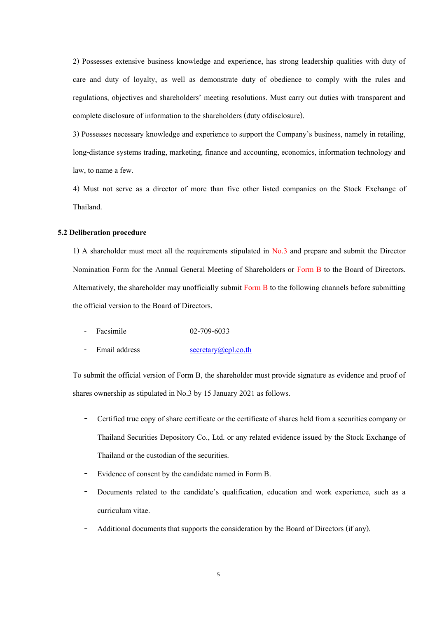2) Possesses extensive business knowledge and experience, has strong leadership qualities with duty of care and duty of loyalty, as well as demonstrate duty of obedience to comply with the rules and regulations, objectives and shareholders' meeting resolutions. Must carry out duties with transparent and complete disclosure of information to the shareholders (duty ofdisclosure).

3) Possesses necessary knowledge and experience to support the Company's business, namely in retailing, long-distance systems trading, marketing, finance and accounting, economics, information technology and law, to name a few.

4) Must not serve as a director of more than five other listed companies on the Stock Exchange of Thailand.

#### **5.2 Deliberation procedure**

1) A shareholder must meet all the requirements stipulated in No.3 and prepare and submit the Director Nomination Form for the Annual General Meeting of Shareholders or Form B to the Board of Directors. Alternatively, the shareholder may unofficially submit Form B to the following channels before submitting the official version to the Board of Directors.

- Facsimile 02-709-6033
- Email address [secretary@cpl.co.th](mailto:secretary@cpl.co.th)

To submit the official version of Form B, the shareholder must provide signature as evidence and proof of shares ownership as stipulated in No.3 by 15 January 2021 as follows.

- Certified true copy of share certificate or the certificate of shares held from a securities company or Thailand Securities Depository Co., Ltd. or any related evidence issued by the Stock Exchange of Thailand or the custodian of the securities.
- Evidence of consent by the candidate named in Form B.
- Documents related to the candidate's qualification, education and work experience, such as a curriculum vitae.
- Additional documents that supports the consideration by the Board of Directors (if any).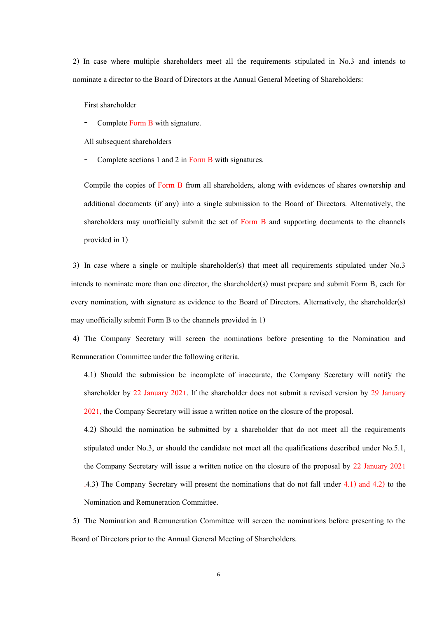2) In case where multiple shareholders meet all the requirements stipulated in No.3 and intends to nominate a director to the Board of Directors at the Annual General Meeting of Shareholders:

First shareholder

Complete Form B with signature.

All subsequent shareholders

Complete sections 1 and 2 in Form B with signatures.

Compile the copies of Form B from all shareholders, along with evidences of shares ownership and additional documents (if any) into a single submission to the Board of Directors. Alternatively, the shareholders may unofficially submit the set of Form B and supporting documents to the channels provided in 1)

3) In case where a single or multiple shareholder(s) that meet all requirements stipulated under No.3 intends to nominate more than one director, the shareholder(s) must prepare and submit Form B, each for every nomination, with signature as evidence to the Board of Directors. Alternatively, the shareholder(s) may unofficially submit Form B to the channels provided in 1)

4) The Company Secretary will screen the nominations before presenting to the Nomination and Remuneration Committee under the following criteria.

4.1) Should the submission be incomplete of inaccurate, the Company Secretary will notify the shareholder by 22 January 2021. If the shareholder does not submit a revised version by 29 January 2021, the Company Secretary will issue a written notice on the closure of the proposal.

4.2) Should the nomination be submitted by a shareholder that do not meet all the requirements stipulated under No.3, or should the candidate not meet all the qualifications described under No.5.1, the Company Secretary will issue a written notice on the closure of the proposal by 22 January 2021 .4.3) The Company Secretary will present the nominations that do not fall under 4.1) and 4.2) to the Nomination and Remuneration Committee.

5) The Nomination and Remuneration Committee will screen the nominations before presenting to the Board of Directors prior to the Annual General Meeting of Shareholders.